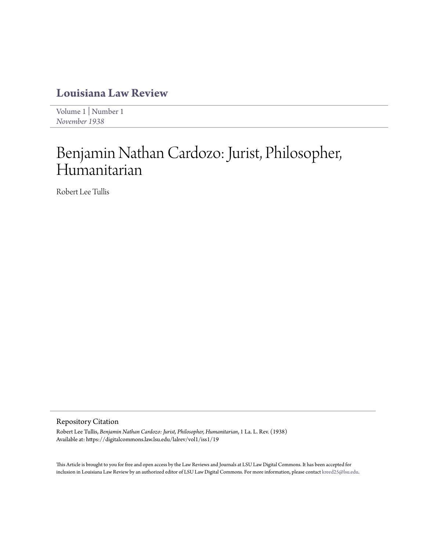## **[Louisiana Law Review](https://digitalcommons.law.lsu.edu/lalrev)**

[Volume 1](https://digitalcommons.law.lsu.edu/lalrev/vol1) | [Number 1](https://digitalcommons.law.lsu.edu/lalrev/vol1/iss1) *[November 1938](https://digitalcommons.law.lsu.edu/lalrev/vol1/iss1)*

# Benjamin Nathan Cardozo: Jurist, Philosopher, Humanitarian

Robert Lee Tullis

#### Repository Citation

Robert Lee Tullis, *Benjamin Nathan Cardozo: Jurist, Philosopher, Humanitarian*, 1 La. L. Rev. (1938) Available at: https://digitalcommons.law.lsu.edu/lalrev/vol1/iss1/19

This Article is brought to you for free and open access by the Law Reviews and Journals at LSU Law Digital Commons. It has been accepted for inclusion in Louisiana Law Review by an authorized editor of LSU Law Digital Commons. For more information, please contact [kreed25@lsu.edu](mailto:kreed25@lsu.edu).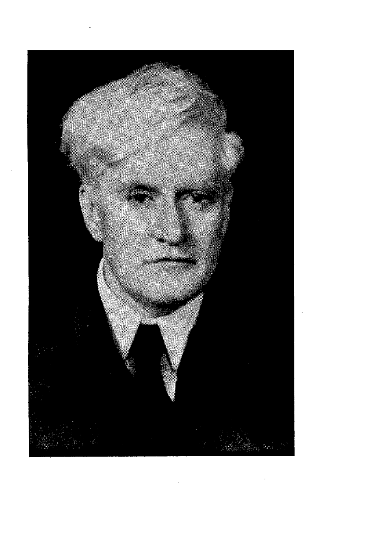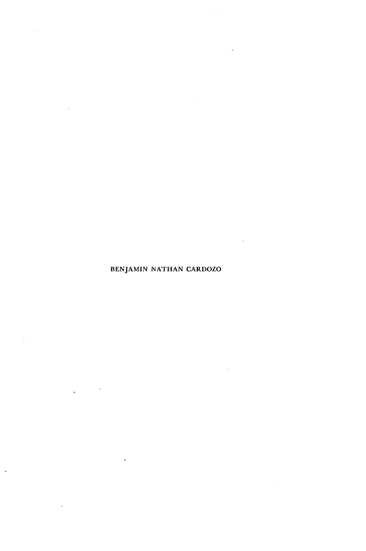**BENJAMIN NATHAN** CARDOZO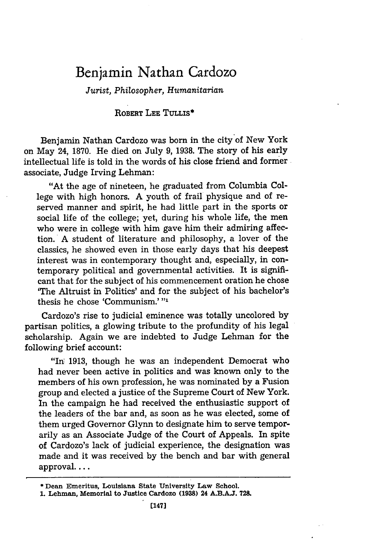### Benjamin Nathan Cardozo

*Jurist, Philosopher, Humanitarian*

#### ROBERT **LEE** TULLIS\*

Benjamin Nathan Cardozo was born in the city of New York on May 24, 1870. He died on July 9, 1938. The story of his early intellectual life is told in the words of his close friend and former associate, Judge Irving Lehman:

"At the age of nineteen, he graduated from Columbia College with high honors. A youth of frail physique and of reserved manner and spirit, he had little part in the sports or social life of the college; yet, during his whole life, the men who were in college with him gave him their admiring affection. A student of literature and philosophy, a lover of the classics, he showed even in those early days that his deepest interest was in contemporary thought and, especially, in contemporary political and governmental activities. It is significant that for the subject of his commencement oration he chose 'The Altruist in Politics' and for the subject of his bachelor's thesis he chose 'Communism.'"<sup>1</sup>

Cardozo's rise to judicial eminence was totally uncolored by partisan politics, a glowing tribute to the profundity of his legal scholarship. Again we are indebted to Judge Lehman for the following brief account:

"In 1913, though he was an independent Democrat who had never been active in politics and was known only to the members of his own profession, he was nominated by a Fusion group and elected a justice of the Supreme Court of New York. In the campaign he had received the enthusiastic support of the leaders of the bar and, as soon as he was elected, some of them urged Governor Glynn to designate him to serve temporarily as an Associate Judge of the Court of Appeals. In spite of Cardozo's lack of judicial experience, the designation was made and it was received by the bench and bar with general approval....

**<sup>\*</sup> Dean Emeritus, Louisiana State University Law School.**

**<sup>1.</sup> Lehman, Memorial to Justice Cardozo (1938) 24 A.B.A.J. 728.**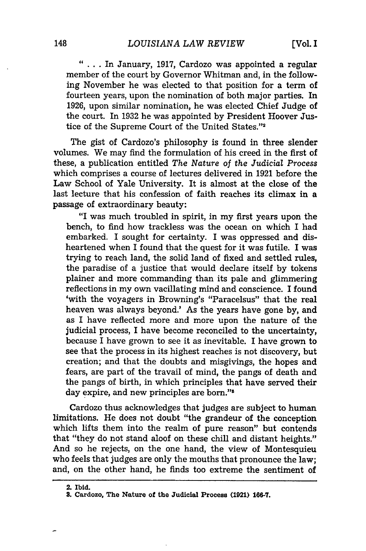**" . .** . In January, 1917, Cardozo was appointed a regular member of the court by Governor Whitman and, in the following November he was elected to that position for a term of fourteen years, upon the nomination of both major parties. In 1926, upon similar nomination, he was elected Chief Judge of the court. In 1932 he was appointed by President Hoover Justice of the Supreme Court of the United States."2

The gist of Cardozo's philosophy is found in three slender volumes. We may find the formulation of his creed in the first of these, a publication entitled *The Nature of the Judicial Process* which comprises a course of lectures delivered in 1921 before the Law School of Yale University. It is almost at the close of the last lecture that his confession of faith reaches its climax in a passage of extraordinary beauty:

"I was much troubled in spirit, in my first years upon the bench, to find how trackless was the ocean on which I had embarked. I sought for certainty. I was oppressed and disheartened when I found that the quest for it was futile. I was trying to reach land, the solid land of fixed and settled rules, the paradise of a justice that would declare itself by tokens plainer and more commanding than its pale and glimmering reflections in my own vacillating mind and conscience. I found 'with the voyagers in Browning's "Paracelsus" that the real heaven was always beyond.' As the years have gone by, and as I have reflected more and more upon the nature of the judicial process, I have become reconciled to the uncertainty, because I have grown to see it as inevitable. I have grown to see that the process in its highest reaches is not discovery, but creation; and that the doubts and misgivings, the hopes and fears, are part of the travail of mind, the pangs of death and the pangs of birth, in which principles that have served their day expire, and new principles are born."<sup>8</sup>

Cardozo thus acknowledges that judges are subject to human limitations. He does not doubt "the grandeur of the conception which lifts them into the realm of pure reason" but contends that "they do not stand aloof on these chill and distant heights." And so he rejects, on the one hand, the view of Montesquieu who feels that judges are only the mouths that pronounce the law; and, on the other hand, he finds too extreme the sentiment of

<sup>2.</sup> Ibid.

**<sup>3.</sup> Cardozo, The Nature of the Judicial Process (1921) 166-7.**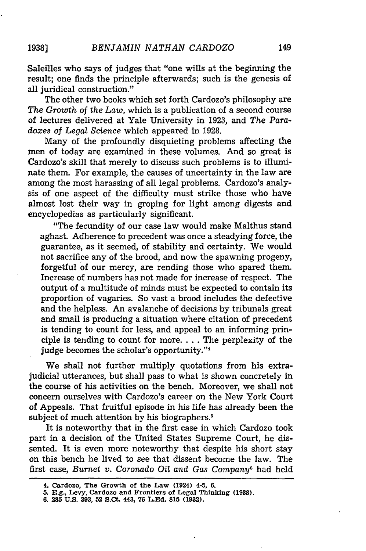Saleilles who says of judges that "one wills at the beginning the result; one finds the principle afterwards; such is the genesis of all juridical construction."

The other two books which set forth Cardozo's philosophy are *The Growth of the Law,* which is a publication of a second course of lectures delivered at Yale University in 1923, and *The Paradoxes of Legal Science* which appeared in 1928.

Many of the profoundly disquieting problems affecting the men of today are examined in these volumes. And so great is Cardozo's skill that merely to discuss such problems is to illuminate them. For example, the causes of uncertainty in the law are among the most harassing of all legal problems. Cardozo's analysis of one aspect of the difficulty must strike those who have almost lost their way in groping for light among digests and encyclopedias as particularly significant.

"The fecundity of our case law would make Malthus stand aghast. Adherence to precedent was once a steadying force, the guarantee, as it seemed, of stability and certainty. We would not sacrifice any of the brood, and now the spawning progeny, forgetful of our mercy, are rending those who spared them. Increase of numbers has not made for increase of respect. The output of a multitude of minds must be expected to contain its proportion of vagaries. So vast a brood includes the defective and the helpless. An avalanche of decisions by tribunals great and small is producing a situation where citation of precedent is tending to count for less, and appeal to an informing principle is tending to count for more **....** The perplexity of the judge becomes the scholar's opportunity."<sup>4</sup>

We shall not further multiply quotations from his extrajudicial utterances, but shall pass to what is shown concretely in the course of his activities on the bench. Moreover, we shall not concern ourselves with Cardozo's career on the New York Court of Appeals. That fruitful episode in his life has already been the subject of much attention by his biographers.<sup>5</sup>

It is noteworthy that in the first case in which Cardozo took part in a decision of the United States Supreme Court, he dissented. It is even more noteworthy that despite his short stay on this bench he lived to see that dissent become the law. The first case, *Burnet v. Coronado Oil and* Gas *Company6* had held

**1938]**

**<sup>4.</sup> Cardozo, The Growth of the Law (1924) 4-5, 6.**

**<sup>5.</sup> E.g., Levy, Cardozo and Frontiers of Legal Thinking (1938).**

**<sup>6. 285</sup> U.S. 393, 62 S.Ct. 443, 76 L.Ed. 815 (1932).**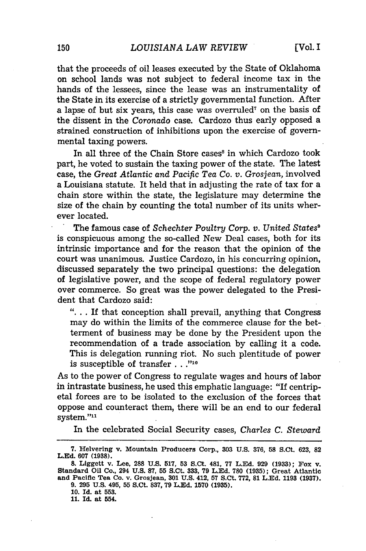that the proceeds of oil leases executed by the State of Oklahoma on school lands was not subject to federal income tax in the hands of the lessees, since the lease was an instrumentality of the State in its exercise of a strictly governmental function. After a lapse of but six years, this case was overruled<sup> $\tau$ </sup> on the basis of the dissent in the *Coronado* case. Cardozo thus early opposed a strained construction of inhibitions upon the exercise of governmental taxing powers.

In all three of the Chain Store cases<sup>8</sup> in which Cardozo took part, he voted to sustain the taxing power of the state. The latest case, the *Great Atlantic and Pacific Tea Co. v. Grosjean,* involved a Louisiana statute. It held that in adjusting the rate of tax for a chain store within the state, the legislature may determine the size of the chain by counting the total number of its units wherever located.

The famous case of *Schechter Poultry Corp. v. United States9* is conspicuous among the so-called New Deal cases, both for its intrinsic importance and for the reason that the opinion of the court was unanimous. Justice Cardozo, in his concurring opinion, discussed separately the two principal questions: the delegation of legislative power, and the scope of federal regulatory power over commerce. So great was the power delegated to the President that Cardozo said:

**"...** If that conception shall prevail, anything that Congress may do within the limits of the commerce clause for the betterment of business may be done by the President upon the recommendation of a trade association by calling it a code. This is delegation running riot. No such plentitude of power is susceptible of transfer **. .. 1**

As to the power of Congress to regulate wages and hours of labor in intrastate business, he used this emphatic language: "If centripetal forces are to be isolated to the exclusion of the forces that oppose and counteract them, there will be an end to our federal system."<sup>11</sup>

In the celebrated Social Security cases, *Charles C. Steward*

**9. 295 U.S. 495, 55 S.Ct. 837, 79 L.Ed. 1570 (1935).**

**10. Id. at 553.**

**11. Id. at 554.**

**<sup>7.</sup>** Helvering v. Mountain Producers Corp., **303 U.S. 376, 58** S.Ct. **623, 82 L.Ed. 607 (1938).**

**<sup>8.</sup> Liggett v. Lee, 288 U.S. 517, 53 S.Ct. 481, 77 L.Ed. 929 (1933); Fox v. Standard** Oil **Co., 294 U.S. 87, 55** S.Ct. **333, 79 L.Ed. 780 (1935); Great Atlantic and Pacific Tea Co. v. Grosjean, 301 U.S. 412, 57 S.Ct. 772, 81 L.Ed. 1193 (1937).**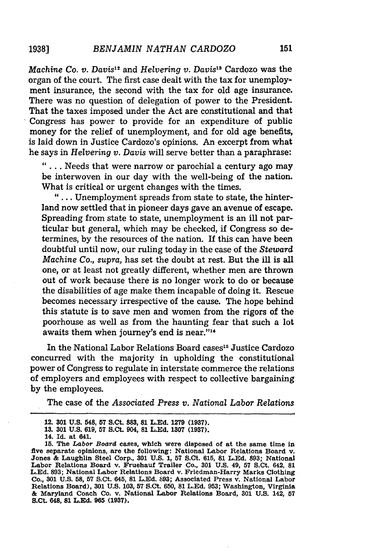*Machine Co. v. Davis*<sup>12</sup> and *Helvering v. Davis*<sup>13</sup> Cardozo was the organ of the court. The first case dealt with the tax for unemployment insurance, the second with the tax for old age insurance. There was no question of delegation of power to the President. That the taxes imposed under the Act are constitutional and that Congress has power to provide for an expenditure of public money for the relief of unemployment, and for old age benefits, is laid down in Justice Cardozo's opinions. An excerpt from what he says in *Helvering v. Davis* will serve better than a paraphrase:

**"...** . Needs that were narrow or parochial a century ago may be interwoven in our day with the well-being of the nation. What is critical or urgent changes with the times.

"... Unemployment spreads from state to state, the hinterland now settled that in pioneer days gave an avenue of escape. Spreading from state to state, unemployment is an ill not particular but general, which may be checked, if Congress so determines, by the resources of the nation. If this can have been doubtful until now, our ruling today in the case of the *Steward Machine Co., supra,* has set the doubt at rest. But the ill is all one, or at least not greatly different, whether men are thrown out of work because there is no longer work to do or because the disabilities of age make them incapable of doing it. Rescue becomes necessary irrespective of the cause. The hope behind this statute is to save men and women from the rigors of the poorhouse as well as from the haunting fear that such a lot awaits them when journey's end is near."<sup>14</sup>

In the National Labor Relations Board cases<sup>15</sup> Justice Cardozo concurred with the majority in upholding the constitutional power of Congress to regulate in interstate commerce the relations of employers and employees with respect to collective bargaining by the employees.

The case of the *Associated Press v. National Labor Relations*

**19381**

<sup>12.</sup> **301 U.S.** 548, **57** S.Ct. **883, 81 L.Ed. 1279 (1937).**

**<sup>13. 301</sup> U.S. 619, 57** S.Ct. 904, **81 L.Ed. 1307 (1937).**

<sup>14.</sup> Id. **at 641.**

**<sup>15.</sup>** The *Labor Board* **cases, which were disposed of at the same time in five separate opinions, are the following: National Labor Relations Board v. Jones & Laughlin Steel Corp., 301 U.S. 1, 57 S.Ct. 615, 81 L.Ed. 893; National Labor Relations Board v. Fruehauf Trailer Co., 301 U.S. 49, 57 S.Ct. 642, 81 L.Ed. 893; National Labor Relations Board v. Friedman-Harry Marks Clothing Co., 301 U.S. 58, 57 S.Ct. 645, 81 L.Ed. 693; Associated Press v. National Labor Relations Board), 301 U.S. 103, 57 S.Ct. 650, 81 L.Ed. 953; Washington, Virginia & Maryland Coach Co. v. National Labor Relations Board, 301 U.S. 142, 57 S.Ct.** 648, **81 L.Ed. 965 (1937).**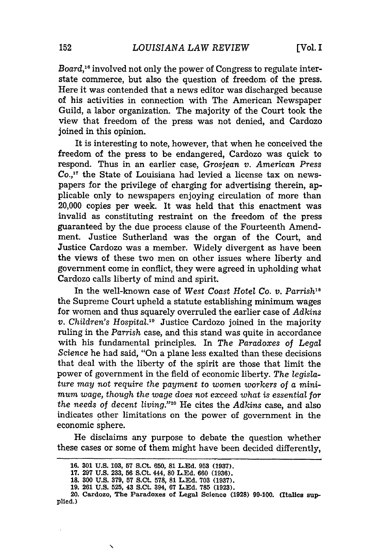**[Vol.** I

Board,<sup>16</sup> involved not only the power of Congress to regulate interstate commerce, but also the question of freedom of the press. Here it was contended that a news editor was discharged because of his activities in connection with The American Newspaper Guild, a labor organization. The majority of the Court took the view that freedom of the press was not denied, and Cardozo joined in this opinion.

It is interesting to note, however, that when he conceived the freedom of the press to be endangered, Cardozo was quick to respond. Thus in an earlier case, *Grosjean v. American Press Co.,17* the State of Louisiana had levied a license tax on newspapers for the privilege of charging for advertising therein, applicable only to newspapers enjoying circulation of more than 20,000 copies per week. It was held that this enactment was invalid as constituting restraint on the freedom of the press guaranteed by the due process clause of the Fourteenth Amendment. Justice Sutherland was the organ of the Court, and Justice Cardozo was a member. Widely divergent as have been the views of these two men on other issues where liberty and government come in conflict, they were agreed in upholding what Cardozo calls liberty of mind and spirit.

In the well-known case of West Coast Hotel Co. v. Parrish<sup>18</sup> the Supreme Court upheld a statute establishing minimum wages for women and thus squarely overruled the earlier case of *Adkins v. Children's Hospital.*<sup>19</sup> Justice Cardozo joined in the majority ruling in the *Parrish* case, and this stand was quite in accordance with his fundamental principles. In *The Paradoxes of Legal Science* he had said, "On a plane less exalted than these decisions that deal with the liberty of the spirit are those that limit the power of government in the field of economic liberty. *The legislature may not require the payment to women workers of a minimum wage, though the wage does not exceed what is essential* for *the needs* of *decent living."20* He cites the *Adkins* case, and also indicates other limitations on the power of government in the economic sphere.

He disclaims any purpose to debate the question whether these cases or some of them might have been decided differently,

<sup>16. 301</sup> U.S. 103, **57** S.Ct. 650, 81 **L.Ed. 953** (1937).

**<sup>17.</sup>** 297 U.S. 233, 56 S.Ct. 444, **80 L.Ed.** 660 (1936).

<sup>18.</sup> **300** U.S. 379, 57 S.Ct. **578,** 81 L.Ed. 703 (1937).

**<sup>19. 261</sup> U.S. 525,** 43 S.Ct. 394, **67 L.Ed. 785 (1923).**

**<sup>20.</sup> Cardozo, The Paradoxes of Legal Science (1928) 99-100. (Italics supplied.)**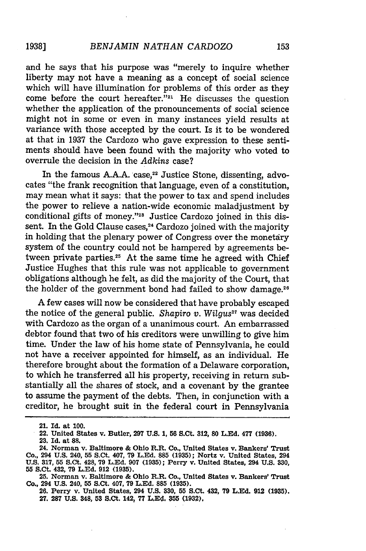and he says that his purpose was "merely to inquire whether liberty may not have a meaning as a concept of social science which will have illumination for problems of this order as they come before the court hereafter."<sup>21</sup> He discusses the question whether the application of the pronouncements of social science might not in some or even in many instances yield results at variance with those accepted by the court. Is it to be wondered at that in 1937 the Cardozo who gave expression to these sentiments should have been found with the majority who voted to overrule the decision in the *Adkins* case?

In the famous A.A.A. case,<sup>22</sup> Justice Stone, dissenting, advocates "the frank recognition that language, even of a constitution, may mean what it says: that the power to tax and spend includes the power to relieve a nation-wide economic maladjustment by conditional gifts of money."<sup>28</sup> Justice Cardozo joined in this dissent. In the Gold Clause cases,<sup>24</sup> Cardozo joined with the majority in holding that the plenary power of Congress over the monetary system of the country could not be hampered by agreements between private parties.<sup>25</sup> At the same time he agreed with Chief Justice Hughes that this rule was not applicable to government obligations although he felt, as did the majority of the Court, that the holder of the government bond had failed to show damage.<sup>26</sup>

A few cases will now be considered that have probably escaped the notice of the general public. *Shapiro v. Wilgus*<sup>27</sup> was decided with Cardozo as the organ of a unanimous court. An embarrassed debtor found that two of his creditors were unwilling to give him time. Under the law of his home state of Pennsylvania, he could not have a receiver appointed for himself, as an individual. He therefore brought about the formation of a Delaware corporation, to which he transferred all his property, receiving in return substantially all the shares of stock, and a covenant by the grantee to assume the payment of the debts. Then, in conjunction with a creditor, he brought suit in the federal court in Pennsylvania

**1938]**

153

<sup>21.</sup> **Id.** at **100.**

**<sup>22.</sup> United States v. Butler, 297 U.S. 1, 56 S.Ct. 312, 80 L.Ed. 477 (1936). 23. Id. at 88.**

**<sup>24.</sup> Norman v. Baltimore & Ohio R.R. Co., United States v. Bankers' Trust Co., 294 U.S.** 240, **55 S.Ct. 407, 79 L.Ed. 885 (1935); Nortz v. United States, 294 U.S. 317, 55 S.Ct. 428, 79 L.Ed. 907 (1935); Perry v. United States, 294 U.S. 330, 55 S.Ct. 432, 79 L.Ed. 912 (1935).**

**<sup>25.</sup> Norman v. Baltimore & Ohio R.R. Co., United States v. Bankers' Trust Co., 294 U.S. 240, 55 S.Ct. 407, 79 L.Ed. 885 (1935).**

**<sup>26.</sup> Perry v. United States, 294 U.S. 330, 55 S.Ct. 432, 79 L.Ed. 912 (1935). 27. 287 U.S. 348, 53 S.Ct. 142, 77 L.E1 355 (1932),**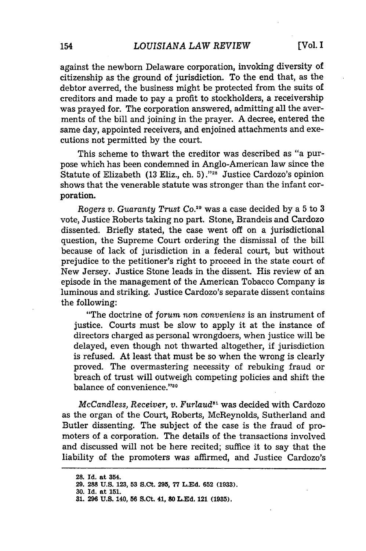against the newborn Delaware corporation, invoking diversity of citizenship as the ground of jurisdiction. To the end that, as the debtor averred, the business might be protected from the suits of creditors and made to pay a profit to stockholders, a receivership was prayed for. The corporation answered, admitting all the averments of the bill and joining in the prayer. A decree, entered the same day, appointed receivers, and enjoined attachments and executions not permitted by the court.

This scheme to thwart the creditor was described as "a purpose which has been condemned in Anglo-American law since the Statute of Elizabeth (13 Eliz., ch. 5)."<sup>28</sup> Justice Cardozo's opinion shows that the venerable statute was stronger than the infant corporation.

*Rogers v. Guaranty Trust Co.29* was a case decided by a 5 to 3 vote, Justice Roberts taking no part. Stone, Brandeis and Cardozo dissented. Briefly stated, the case went off on a jurisdictional question, the Supreme Court ordering the dismissal of the bill because of lack of jurisdiction in a federal court, but without prejudice to the petitioner's right to proceed in the state court of New Jersey. Justice Stone leads in the dissent. His review of an episode in the management of the American Tobacco Company is luminous and striking. Justice Cardozo's separate dissent contains the following:

"The doctrine of *forum non conveniens* is an instrument of justice. Courts must be slow to apply it at the instance of directors charged as personal wrongdoers, when justice will be delayed, even though not thwarted altogether, if jurisdiction is refused. At least that must be so when the wrong is clearly proved. The overmastering necessity of rebuking fraud or breach of trust will outweigh competing policies and shift the balance of convenience."<sup>30</sup>

*McCandless, Receiver, v. Furlaud81* was decided with Cardozo as the organ of the Court, Roberts, McReynolds, Sutherland and Butler dissenting. The subject of the case is the fraud of promoters of a corporation. The details of the transactions involved and discussed will not be here recited; suffice it to say that the liability of the promoters was affirmed, and Justice Cardozo's

**<sup>28.</sup> Id. at 354.**

**<sup>29. 288</sup> U.S. 123, 53 S.Ct. 295, 77 L.Ed. 652 (1933).**

**<sup>30.</sup> Id. at 151.**

**<sup>31. 296</sup> U.S. 140, 56 S.Ct. 41, 80 L.Ed. 121 (1935).**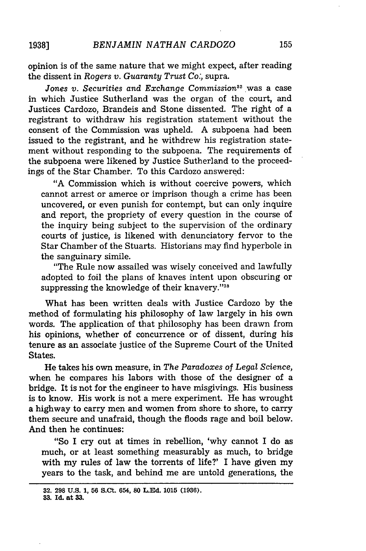**19381**

opinion is of the same nature that we might expect, after reading the dissent in *Rogers v. Guaranty Trust Co.,* supra.

*Jones v. Securities and Exchange Commission<sup>32</sup> was a case* in which Justice Sutherland was the organ of the court, and Justices Cardozo, Brandeis and Stone dissented. The right of a registrant to withdraw his registration statement without the consent of the Commission was upheld. A subpoena had been issued to the registrant, and he withdrew his registration statement without responding to the subpoena. The requirements of the subpoena were likened by Justice Sutherland to the proceedings of the Star Chamber. To this Cardozo answered:

"A Commission which is without coercive powers, which cannot arrest or amerce or imprison though a crime has been uncovered, or even punish for contempt, but can only inquire and report, the propriety of every question in the course of the inquiry being subject to the supervision of the ordinary courts of justice, is likened with denunciatory fervor to the Star Chamber of the Stuarts. Historians may find hyperbole in the sanguinary simile.

"The Rule now assailed was wisely conceived and lawfully adopted to foil the plans of knaves intent upon obscuring or suppressing the knowledge of their knavery."38

What has been written deals with Justice Cardozo by the method of formulating his philosophy of law largely in his own words. The application of that philosophy has been drawn from his opinions, whether of concurrence or of dissent, during his tenure as an associate justice of the Supreme Court of the United States.

He takes his own measure, in *The Paradoxes of Legal Science,* when he compares his labors with those of the designer of a bridge. It is not for the engineer to have misgivings. His business is to know. His work is not a mere experiment. He has wrought a highway to carry men and women from shore to shore, to carry them secure and unafraid, though the floods rage and boil below. And then he continues:

"So I cry out at times in rebellion, 'why cannot I do as much, or at least something measurably as much, to bridge with my rules of law the torrents of life?' I have given my years to the task, and behind me are untold generations, the

**<sup>32. 298</sup> U.S. 1, 56** S.Ct. **654, 80 L.Ed. 1015 (1936). 33. Id. at 33.**